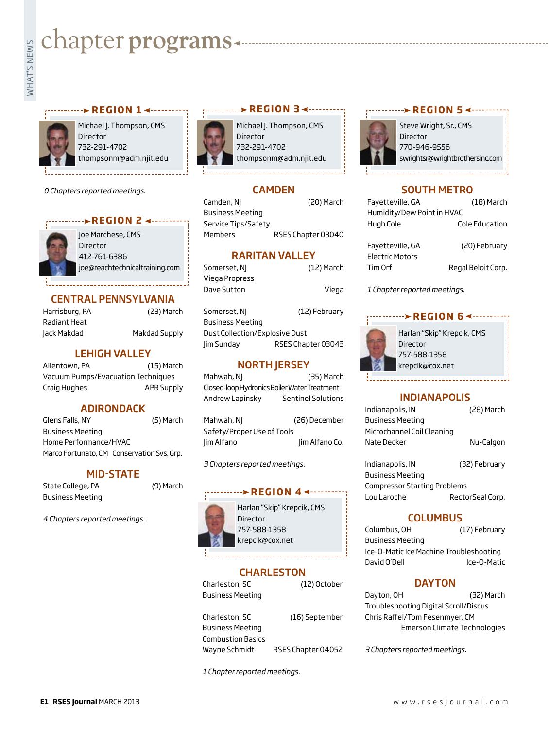# what's chapter programs<br>
Fig. 2<br>
Fig. 2<br>
Fig. 2<br> **Example 2**



Michael J. Thompson, CMS Director 732-291-4702 thompsonm@adm.njit.edu

*0 Chapters reported meetings.*



Joe Marchese, CMS Director 412-761-6386 joe@reachtechnicaltraining.com

\_\_\_\_\_\_\_\_\_\_\_\_\_\_\_\_\_

#### CENTRAL PENNSYLVANIA

| Harrisburg, PA |  |
|----------------|--|
| Radiant Heat   |  |
| Jack Makdad    |  |

(23) March Makdad Supply

#### LEHIGH VALLEY

Allentown, PA (15) March Vacuum Pumps/Evacuation Techniques Craig Hughes **APR Supply** 

#### ADIRONDACK

Glens Falls, NY (5) March Business Meeting Home Performance/HVAC Marco Fortunato, CM Conservation Svs. Grp.

#### MID-STATE

State College, PA (9) March Business Meeting

*4 Chapters reported meetings.*



Michael J. Thompson, CMS Director 732-291-4702 thompsonm@adm.njit.edu

#### **CAMDEN**

Camden, NJ (20) March Business Meeting Service Tips/Safety Members RSES Chapter 03040

#### RARITAN VALLEY

| Somerset, NI   | (12) March |
|----------------|------------|
| Viega Propress |            |
| Dave Sutton    | Viega      |

Somerset, NJ (12) February Business Meeting Dust Collection/Explosive Dust Jim Sunday RSES Chapter 03043

#### **NORTH JERSEY**

Mahwah, NJ (35) March Closed-loop Hydronics Boiler Water Treatment Andrew Lapinsky Sentinel Solutions

Mahwah, NJ (26) December Safety/Proper Use of Tools Jim Alfano Jim Alfano Co.

*3 Chapters reported meetings.*

#### **PEGION 4 <--------**



Harlan "Skip" Krepcik, CMS 757-588-1358 krepcik@cox.net

#### **CHARLESTON**

Charleston, SC (12) October Business Meeting

Charleston, SC (16) September Business Meeting Combustion Basics Wayne Schmidt RSES Chapter 04052

*1 Chapter reported meetings.*

#### **r EGION** 5

Steve Wright, Sr., CMS Director 770-946-9556 swrightsr@wrightbrothersinc.com

#### SOUTH METRO

| Fayetteville, GA           | (18) March         |
|----------------------------|--------------------|
| Humidity/Dew Point in HVAC |                    |
| Hugh Cole                  | Cole Education     |
|                            |                    |
| Fayetteville, GA           | (20) February      |
| <b>Electric Motors</b>     |                    |
| Tim Orf                    | Regal Beloit Corp. |

*1 Chapter reported meetings.*

### **r e g i o n 6**



Harlan "Skip" Krepcik, CMS Director 757-588-1358 krepcik@cox.net

#### INDIANAPOLIS

| Indianapolis, IN           | (28) March |
|----------------------------|------------|
| <b>Business Meeting</b>    |            |
| Microchannel Coil Cleaning |            |
| Nate Decker                | Nu-Calgon  |
|                            |            |

Indianapolis, IN (32) February Business Meeting Compressor Starting Problems Lou Laroche RectorSeal Corp.

#### **COLUMBUS**

Columbus, OH (17) February Business Meeting Ice-O-Matic Ice Machine Troubleshooting David O'Dell **Ice-O-Matic** 

#### **DAYTON**

Dayton, OH (32) March Troubleshooting Digital Scroll/Discus Chris Raffel/Tom Fesenmyer, CM Emerson Climate Technologies

*3 Chapters reported meetings.*

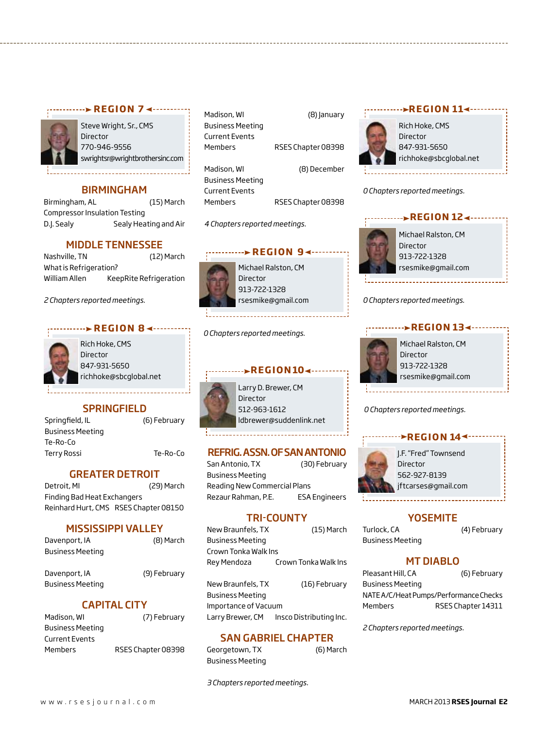

*r* **e contra REGION 7 <---------**

Steve Wright, Sr., CMS Director 770-946-9556 swrightsr@wrightbrothersinc.com

#### BIRMINGHAM

Birmingham, AL (15) March Compressor Insulation Testing D.J. Sealy Sealy Heating and Air

#### MIDDLE TENNESSEE

Nashville, TN (12) March What is Refrigeration? William Allen KeepRite Refrigeration

*2 Chapters reported meetings.*

#### **REGION 84....**



Rich Hoke, CMS Director 847-931-5650 richhoke@sbcglobal.net

#### **SPRINGFIELD**

Springfield, IL (6) February Business Meeting Te-Ro-Co Terry Rossi Te-Ro-Co

#### GREATER DETROIT

Detroit, MI (29) March Finding Bad Heat Exchangers Reinhard Hurt, CMS RSES Chapter 08150

#### MISSISSIPPI VALLEY

| (8) March |
|-----------|
|           |
|           |

Davenport, IA (9) February Business Meeting

#### CAPITAL CITY

| (7) February       |
|--------------------|
|                    |
|                    |
| RSES Chapter 08398 |
|                    |

| Madison, Wl             | (8) January        |
|-------------------------|--------------------|
| <b>Business Meeting</b> |                    |
| <b>Current Events</b>   |                    |
| Members                 | RSES Chapter 08398 |
|                         |                    |
| Madison, WI             | (8) December       |
| <b>Business Meeting</b> |                    |
| <b>Current Events</b>   |                    |
| Members                 | RSES Chapter 08398 |

*4 Chapters reported meetings.*



Michael Ralston, CM 913-722-1328 rsesmike@gmail.com

*0 Chapters reported meetings.*



Larry D. Brewer, CM 512-963-1612 ldbrewer@suddenlink.net

**REGION104** 

#### REFRIG. ASSN. OF SAN ANTONIO

San Antonio, TX (30) February Business Meeting Reading New Commercial Plans Rezaur Rahman, P.E. **ESA Engineers** 

#### TRI-COUNTY

| New Braunfels, TX       | $(15)$ March         |
|-------------------------|----------------------|
| <b>Business Meeting</b> |                      |
| Crown Tonka Walk Ins    |                      |
| Rey Mendoza             | Crown Tonka Walk Ins |

New Braunfels, TX (16) February Business Meeting Importance of Vacuum Larry Brewer, CM Insco Distributing Inc.

#### SAN GABRIEL CHAPTER

Georgetown, TX (6) March Business Meeting

*3 Chapters reported meetings.*



Rich Hoke, CMS Director 847-931-5650 richhoke@sbcglobal.net **REGION 114 - - - - - - - - -**

*0 Chapters reported meetings.*



*0 Chapters reported meetings.*



#### *0 Chapters reported meetings.*

#### *<u><b>PREGION 144...</u>*</u>



J.F. "Fred" Townsend Director 562-927-8139 jftcarses@gmail.com

#### **YOSEMITE**

Turlock, CA (4) February Business Meeting

#### MT DIABLO

Pleasant Hill, CA (6) February Business Meeting NATEA/C/Heat Pumps/Performance Checks Members RSES Chapter 14311

*2 Chapters reported meetings.*